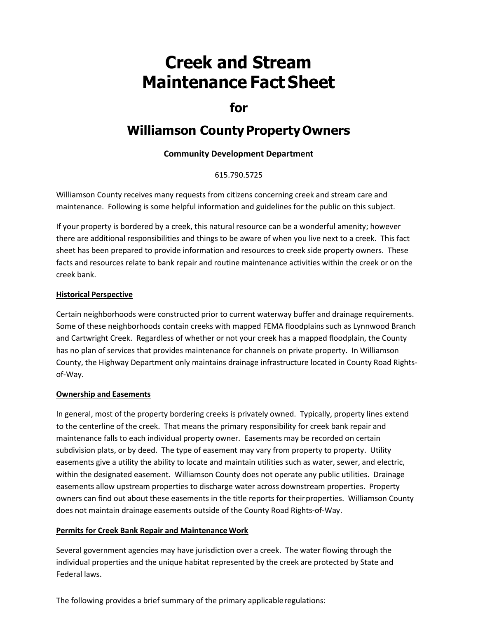# Creek and Stream Maintenance Fact Sheet

### for

## Williamson County Property Owners

Community Development Department

#### 615.790.5725

Williamson County receives many requests from citizens concerning creek and stream care and maintenance. Following is some helpful information and guidelines for the public on this subject.

If your property is bordered by a creek, this natural resource can be a wonderful amenity; however there are additional responsibilities and things to be aware of when you live next to a creek. This fact sheet has been prepared to provide information and resources to creek side property owners. These facts and resources relate to bank repair and routine maintenance activities within the creek or on the creek bank.

#### Historical Perspective

Certain neighborhoods were constructed prior to current waterway buffer and drainage requirements. Some of these neighborhoods contain creeks with mapped FEMA floodplains such as Lynnwood Branch and Cartwright Creek. Regardless of whether or not your creek has a mapped floodplain, the County has no plan of services that provides maintenance for channels on private property. In Williamson County, the Highway Department only maintains drainage infrastructure located in County Road Rightsof-Way.

#### Ownership and Easements

In general, most of the property bordering creeks is privately owned. Typically, property lines extend to the centerline of the creek. That means the primary responsibility for creek bank repair and maintenance falls to each individual property owner. Easements may be recorded on certain subdivision plats, or by deed. The type of easement may vary from property to property. Utility easements give a utility the ability to locate and maintain utilities such as water, sewer, and electric, within the designated easement. Williamson County does not operate any public utilities. Drainage easements allow upstream properties to discharge water across downstream properties. Property owners can find out about these easements in the title reports for their properties. Williamson County does not maintain drainage easements outside of the County Road Rights-of-Way.

#### Permits for Creek Bank Repair and Maintenance Work

Several government agencies may have jurisdiction over a creek. The water flowing through the individual properties and the unique habitat represented by the creek are protected by State and Federal laws.

The following provides a brief summary of the primary applicable regulations: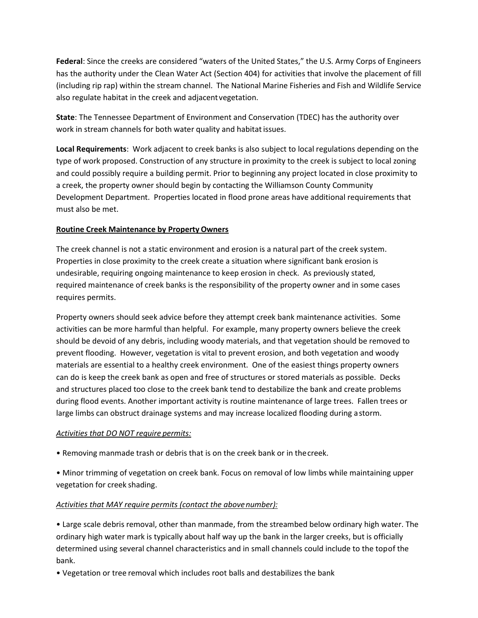Federal: Since the creeks are considered "waters of the United States," the U.S. Army Corps of Engineers has the authority under the Clean Water Act (Section 404) for activities that involve the placement of fill (including rip rap) within the stream channel. The National Marine Fisheries and Fish and Wildlife Service also regulate habitat in the creek and adjacent vegetation.

State: The Tennessee Department of Environment and Conservation (TDEC) has the authority over work in stream channels for both water quality and habitat issues.

Local Requirements: Work adjacent to creek banks is also subject to local regulations depending on the type of work proposed. Construction of any structure in proximity to the creek is subject to local zoning and could possibly require a building permit. Prior to beginning any project located in close proximity to a creek, the property owner should begin by contacting the Williamson County Community Development Department. Properties located in flood prone areas have additional requirements that must also be met.

#### Routine Creek Maintenance by Property Owners

The creek channel is not a static environment and erosion is a natural part of the creek system. Properties in close proximity to the creek create a situation where significant bank erosion is undesirable, requiring ongoing maintenance to keep erosion in check. As previously stated, required maintenance of creek banks is the responsibility of the property owner and in some cases requires permits.

Property owners should seek advice before they attempt creek bank maintenance activities. Some activities can be more harmful than helpful. For example, many property owners believe the creek should be devoid of any debris, including woody materials, and that vegetation should be removed to prevent flooding. However, vegetation is vital to prevent erosion, and both vegetation and woody materials are essential to a healthy creek environment. One of the easiest things property owners can do is keep the creek bank as open and free of structures or stored materials as possible. Decks and structures placed too close to the creek bank tend to destabilize the bank and create problems during flood events. Another important activity is routine maintenance of large trees. Fallen trees or large limbs can obstruct drainage systems and may increase localized flooding during a storm.

#### Activities that DO NOT require permits:

• Removing manmade trash or debris that is on the creek bank or in the creek.

• Minor trimming of vegetation on creek bank. Focus on removal of low limbs while maintaining upper vegetation for creek shading.

#### Activities that MAY require permits (contact the above number):

• Large scale debris removal, other than manmade, from the streambed below ordinary high water. The ordinary high water mark is typically about half way up the bank in the larger creeks, but is officially determined using several channel characteristics and in small channels could include to the top of the bank.

• Vegetation or tree removal which includes root balls and destabilizes the bank